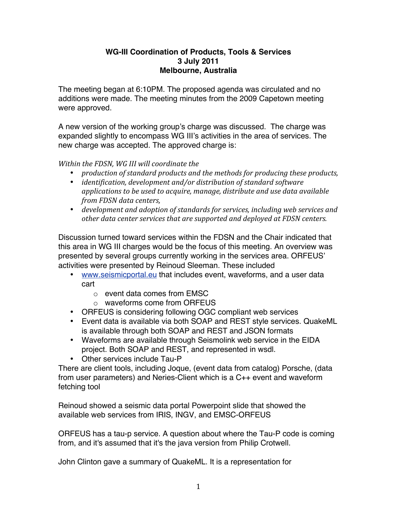## **WG-III Coordination of Products, Tools & Services 3 July 2011 Melbourne, Australia**

The meeting began at 6:10PM. The proposed agenda was circulated and no additions were made. The meeting minutes from the 2009 Capetown meeting were approved.

A new version of the working group's charge was discussed. The charge was expanded slightly to encompass WG III's activities in the area of services. The new charge was accepted. The approved charge is:

*Within the FDSN, WG III will coordinate the* 

- *production of standard products and the methods for producing these products,*
- *identification, development and/or distribution of standard software* applications to be used to acquire, manage, distribute and use data available *from FDSN data centers,*
- *development and adoption of standards for services, including web services and other&data&center&services&that&are&supported&and&deployed&at&FDSN&centers.&&*

Discussion turned toward services within the FDSN and the Chair indicated that this area in WG III charges would be the focus of this meeting. An overview was presented by several groups currently working in the services area. ORFEUS' activities were presented by Reinoud Sleeman. These included

- www.seismicportal.eu that includes event, waveforms, and a user data cart
	- o event data comes from EMSC
	- o waveforms come from ORFEUS
- ORFEUS is considering following OGC compliant web services
- Event data is available via both SOAP and REST style services. QuakeML is available through both SOAP and REST and JSON formats
- Waveforms are available through Seismolink web service in the EIDA project. Both SOAP and REST, and represented in wsdl.
- Other services include Tau-P

There are client tools, including Joque, (event data from catalog) Porsche, (data from user parameters) and Neries-Client which is a C++ event and waveform fetching tool

Reinoud showed a seismic data portal Powerpoint slide that showed the available web services from IRIS, INGV, and EMSC-ORFEUS

ORFEUS has a tau-p service. A question about where the Tau-P code is coming from, and it's assumed that it's the java version from Philip Crotwell.

John Clinton gave a summary of QuakeML. It is a representation for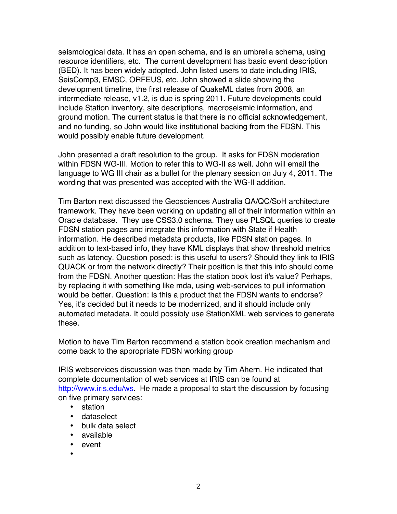seismological data. It has an open schema, and is an umbrella schema, using resource identifiers, etc. The current development has basic event description (BED). It has been widely adopted. John listed users to date including IRIS, SeisComp3, EMSC, ORFEUS, etc. John showed a slide showing the development timeline, the first release of QuakeML dates from 2008, an intermediate release, v1.2, is due is spring 2011. Future developments could include Station inventory, site descriptions, macroseismic information, and ground motion. The current status is that there is no official acknowledgement, and no funding, so John would like institutional backing from the FDSN. This would possibly enable future development.

John presented a draft resolution to the group. It asks for FDSN moderation within FDSN WG-III. Motion to refer this to WG-II as well. John will email the language to WG III chair as a bullet for the plenary session on July 4, 2011. The wording that was presented was accepted with the WG-II addition.

Tim Barton next discussed the Geosciences Australia QA/QC/SoH architecture framework. They have been working on updating all of their information within an Oracle database. They use CSS3.0 schema. They use PLSQL queries to create FDSN station pages and integrate this information with State if Health information. He described metadata products, like FDSN station pages. In addition to text-based info, they have KML displays that show threshold metrics such as latency. Question posed: is this useful to users? Should they link to IRIS QUACK or from the network directly? Their position is that this info should come from the FDSN. Another question: Has the station book lost it's value? Perhaps, by replacing it with something like mda, using web-services to pull information would be better. Question: Is this a product that the FDSN wants to endorse? Yes, it's decided but it needs to be modernized, and it should include only automated metadata. It could possibly use StationXML web services to generate these.

Motion to have Tim Barton recommend a station book creation mechanism and come back to the appropriate FDSN working group

IRIS webservices discussion was then made by Tim Ahern. He indicated that complete documentation of web services at IRIS can be found at http://www.iris.edu/ws. He made a proposal to start the discussion by focusing on five primary services:

- station
- dataselect
- bulk data select
- available
- event
- •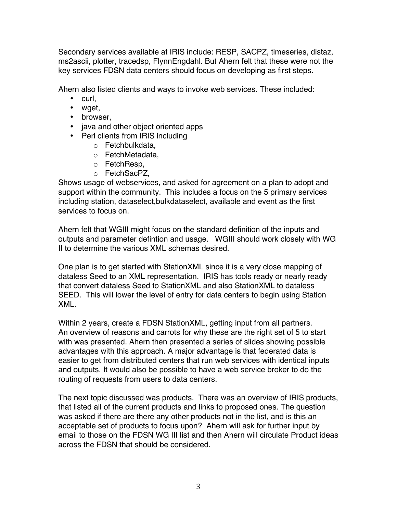Secondary services available at IRIS include: RESP, SACPZ, timeseries, distaz, ms2ascii, plotter, tracedsp, FlynnEngdahl. But Ahern felt that these were not the key services FDSN data centers should focus on developing as first steps.

Ahern also listed clients and ways to invoke web services. These included:

- curl,
- waet.
- browser,
- java and other object oriented apps
- Perl clients from IRIS including
	- o Fetchbulkdata,
	- o FetchMetadata,
	- o FetchResp,
	- o FetchSacPZ,

Shows usage of webservices, and asked for agreement on a plan to adopt and support within the community. This includes a focus on the 5 primary services including station, dataselect,bulkdataselect, available and event as the first services to focus on.

Ahern felt that WGIII might focus on the standard definition of the inputs and outputs and parameter defintion and usage. WGIII should work closely with WG II to determine the various XML schemas desired.

One plan is to get started with StationXML since it is a very close mapping of dataless Seed to an XML representation. IRIS has tools ready or nearly ready that convert dataless Seed to StationXML and also StationXML to dataless SEED. This will lower the level of entry for data centers to begin using Station XML.

Within 2 years, create a FDSN StationXML, getting input from all partners. An overview of reasons and carrots for why these are the right set of 5 to start with was presented. Ahern then presented a series of slides showing possible advantages with this approach. A major advantage is that federated data is easier to get from distributed centers that run web services with identical inputs and outputs. It would also be possible to have a web service broker to do the routing of requests from users to data centers.

The next topic discussed was products. There was an overview of IRIS products, that listed all of the current products and links to proposed ones. The question was asked if there are there any other products not in the list, and is this an acceptable set of products to focus upon? Ahern will ask for further input by email to those on the FDSN WG III list and then Ahern will circulate Product ideas across the FDSN that should be considered.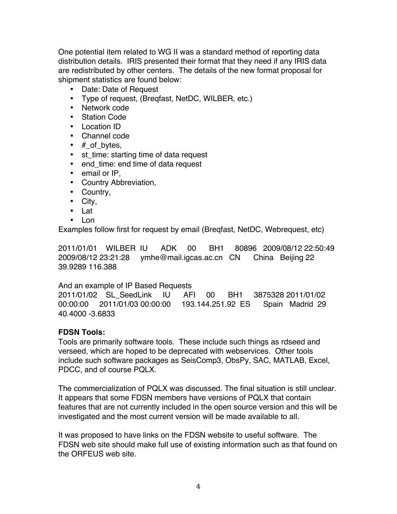One potential item related to WG II was a standard method of reporting data distribution details. IRIS presented their format that they need if any IRIS data are redistributed by other centers. The details of the new format proposal for shipment statistics are found below:

- Date: Date of Request
- Type of request, (Breqfast, NetDC, WILBER, etc.)
- Network code
- Station Code
- Location ID
- Channel code
- $#$  of bytes,
- st\_time: starting time of data request
- end\_time: end time of data request
- email or IP,
- Country Abbreviation,
- Country,
- City,
- Lat
- Lon

Examples follow first for request by email (Breqfast, NetDC, Webrequest, etc)

2011/01/01 WILBER IU ADK 00 BH1 80896 2009/08/12 22:50:49 2009/08/12 23:21:28 ymhe@mail.igcas.ac.cn CN China Beijing 22 39.9289 116.388

## And an example of IP Based Requests

2011/01/02 SL\_SeedLink IU AFI 00 BH1 3875328 2011/01/02 00:00:00 2011/01/03 00:00:00 193.144.251.92 ES Spain Madrid 29 40.4000 -3.6833

## **FDSN Tools:**

Tools are primarily software tools. These include such things as rdseed and verseed, which are hoped to be deprecated with webservices. Other tools include such software packages as SeisComp3, ObsPy, SAC, MATLAB, Excel, PDCC, and of course PQLX.

The commercialization of PQLX was discussed. The final situation is still unclear. It appears that some FDSN members have versions of PQLX that contain features that are not currently included in the open source version and this will be investigated and the most current version will be made available to all.

It was proposed to have links on the FDSN website to useful software. The FDSN web site should make full use of existing information such as that found on the ORFEUS web site.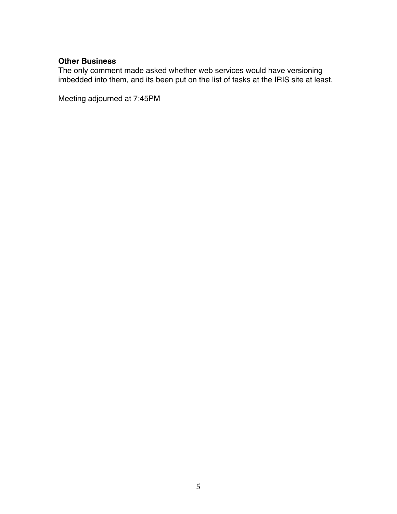## **Other Business**

The only comment made asked whether web services would have versioning imbedded into them, and its been put on the list of tasks at the IRIS site at least.

Meeting adjourned at 7:45PM